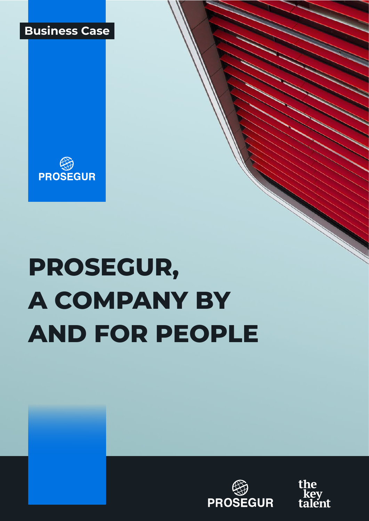



# **PROSEGUR, A COMPANY BY AND FOR PEOPLE**



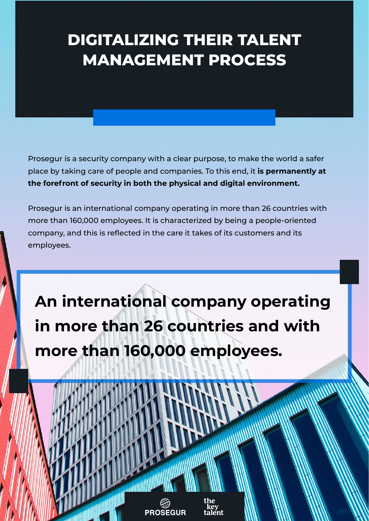## **DIGITALIZING THEIR TALENT MANAGEMENT PROCESS**

Prosegur is a security company with a clear purpose, to make the world a safer place by taking care of people and companies. To this end, it **is permanently at the forefront of security in both the physical and digital environment.**

Prosegur is an international company operating in more than 26 countries with more than 160,000 employees. It is characterized by being a people-oriented company, and this is reflected in the care it takes of its customers and its employees.

**An international company operating in more than 26 countries and with more than 160,000 employees.**

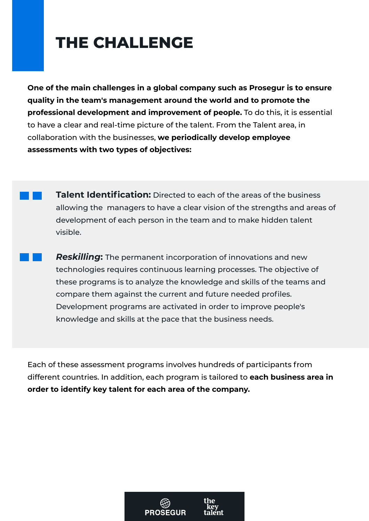## **THE CHALLENGE**

**One of the main challenges in a global company such as Prosegur is to ensure quality in the team's management around the world and to promote the professional development and improvement of people.** To do this, it is essential to have a clear and real-time picture of the talent. From the Talent area, in collaboration with the businesses, **we periodically develop employee assessments with two types of objectives:**

- **Talent Identification:** Directed to each of the areas of the business allowing the managers to have a clear vision of the strengths and areas of development of each person in the team and to make hidden talent visible.
	- *Reskilling***:** The permanent incorporation of innovations and new technologies requires continuous learning processes. The objective of these programs is to analyze the knowledge and skills of the teams and compare them against the current and future needed profiles. Development programs are activated in order to improve people's knowledge and skills at the pace that the business needs.

Each of these assessment programs involves hundreds of participants from different countries. In addition, each program is tailored to **each business area in order to identify key talent for each area of the company.**

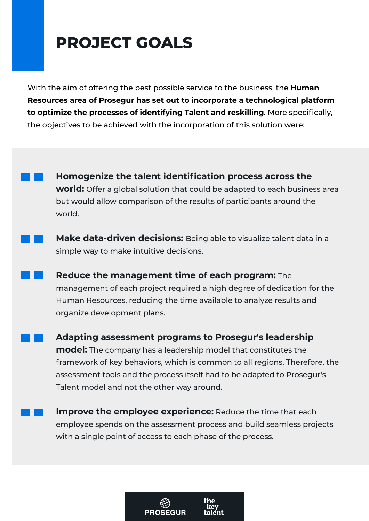#### **PROJECT GOALS**

With the aim of offering the best possible service to the business, the **Human Resources area of Prosegur has set out to incorporate a technological platform to optimize the processes of identifying Talent and reskilling**. More specifically, the objectives to be achieved with the incorporation of this solution were:

**Homogenize the talent identification process across the world:** Offer a global solution that could be adapted to each business area but would allow comparison of the results of participants around the world.

**Make data-driven decisions:** Being able to visualize talent data in a simple way to make intuitive decisions.

**Reduce the management time of each program:** The management of each project required a high degree of dedication for the Human Resources, reducing the time available to analyze results and organize development plans.

**Adapting assessment programs to Prosegur's leadership model:** The company has a leadership model that constitutes the framework of key behaviors, which is common to all regions. Therefore, the assessment tools and the process itself had to be adapted to Prosegur's Talent model and not the other way around.

**Improve the employee experience:** Reduce the time that each employee spends on the assessment process and build seamless projects with a single point of access to each phase of the process.

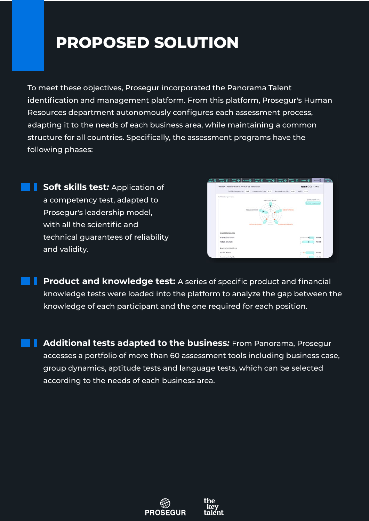## **PROPOSED SOLUTION**

To meet these objectives, Prosegur incorporated the Panorama Talent identification and management platform. From this platform, Prosegur's Human Resources department autonomously configures each assessment process, adapting it to the needs of each business area, while maintaining a common structure for all countries. Specifically, the assessment programs have the following phases:

**Soft skills test**: Application of a competency test, adapted to Prosegur's leadership model, with all the scientific and technical guarantees of reliability and validity.



**Product and knowledge test:** A series of specific product and financial knowledge tests were loaded into the platform to analyze the gap between the knowledge of each participant and the one required for each position.

**Additional tests adapted to the business***:* From Panorama, Prosegur accesses a portfolio of more than 60 assessment tools including business case, group dynamics, aptitude tests and language tests, which can be selected according to the needs of each business area.



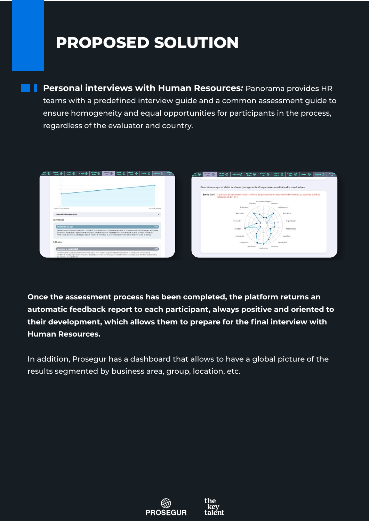### **PROPOSED SOLUTION**

**Personal interviews with Human Resources***:* Panorama provides HR teams with a predefined interview guide and a common assessment guide to ensure homogeneity and equal opportunities for participants in the process, regardless of the evaluator and country.

| <b>Donate</b> @ <b>Prepal</b> @<br>$\frac{448444}{734}$<br>Madrid<br>Colorado<br>$\boldsymbol{\omega}$                                                                                                                                                                                                                                                                                                                           | Multip O Down O       | Around @ Conect @ Prepie @<br><b>Ayuda #</b> ©<br>$D$ asset                                                                                                     |
|----------------------------------------------------------------------------------------------------------------------------------------------------------------------------------------------------------------------------------------------------------------------------------------------------------------------------------------------------------------------------------------------------------------------------------|-----------------------|-----------------------------------------------------------------------------------------------------------------------------------------------------------------|
|                                                                                                                                                                                                                                                                                                                                                                                                                                  |                       |                                                                                                                                                                 |
|                                                                                                                                                                                                                                                                                                                                                                                                                                  |                       | Dimensiones de personalidad de shapes (management) - Comportamientos relacionados con el trabajo                                                                |
|                                                                                                                                                                                                                                                                                                                                                                                                                                  |                       | Escala: Stan5 El gráfico muestra los resultados sin procesar del participante en la escala de la herramienta. La escala es Stan5 (la<br>puntuación va de 1 a 5) |
|                                                                                                                                                                                                                                                                                                                                                                                                                                  |                       | Socialmente seguro<br>Previsor<br><b>Directivo</b>                                                                                                              |
| Maneto de la completited                                                                                                                                                                                                                                                                                                                                                                                                         | Criteriación al Legro | Persuasivo<br>Colaborador                                                                                                                                       |
| Resultados interpretativos                                                                                                                                                                                                                                                                                                                                                                                                       | $\sim$                | Resplativo<br>Empático                                                                                                                                          |
| coortunidades                                                                                                                                                                                                                                                                                                                                                                                                                    |                       | Innovador<br>Organizador                                                                                                                                        |
| Orientación al Logro                                                                                                                                                                                                                                                                                                                                                                                                             | ורע                   | Sociable<br>Responsable                                                                                                                                         |
| Prefiere trabajar con objetivos sencilios o facilmente alcardables con su rutina de trabajo habitual. Puede encontrar cificultades para enfrentarse<br>a problemas imprevistos o especialmente complejos. Puede dar prioridad a las tareas más sencillas sobre aquellas de mayor complejidad<br>Puede buscar apoyo en los demas para resolver problemas complejos. En obasiones puede mostrar cierto desanimo o falta de energía |                       |                                                                                                                                                                 |
|                                                                                                                                                                                                                                                                                                                                                                                                                                  |                       | Entusiasta<br>Analitico                                                                                                                                         |
| Debilidades                                                                                                                                                                                                                                                                                                                                                                                                                      |                       | Conceptual<br>Competitivo                                                                                                                                       |
| Manajo de la complejidad                                                                                                                                                                                                                                                                                                                                                                                                         |                       | Creativo<br>Ambicioso<br>Autónomo                                                                                                                               |
| Toms en cuerta los datos cuando su relevancia resulta obvis. Ansida los problemas centrándose más en información cualitadua que<br>cuertitativa. Realiza un procesamiento de los datos sencilio y más bien descriptivo. Puede encontrar dificultades para identificar los elementos<br>ous impactan en un problema.                                                                                                              |                       |                                                                                                                                                                 |

**Once the assessment process has been completed, the platform returns an automatic feedback report to each participant, always positive and oriented to their development, which allows them to prepare for the final interview with Human Resources.**

In addition, Prosegur has a dashboard that allows to have a global picture of the results segmented by business area, group, location, etc.